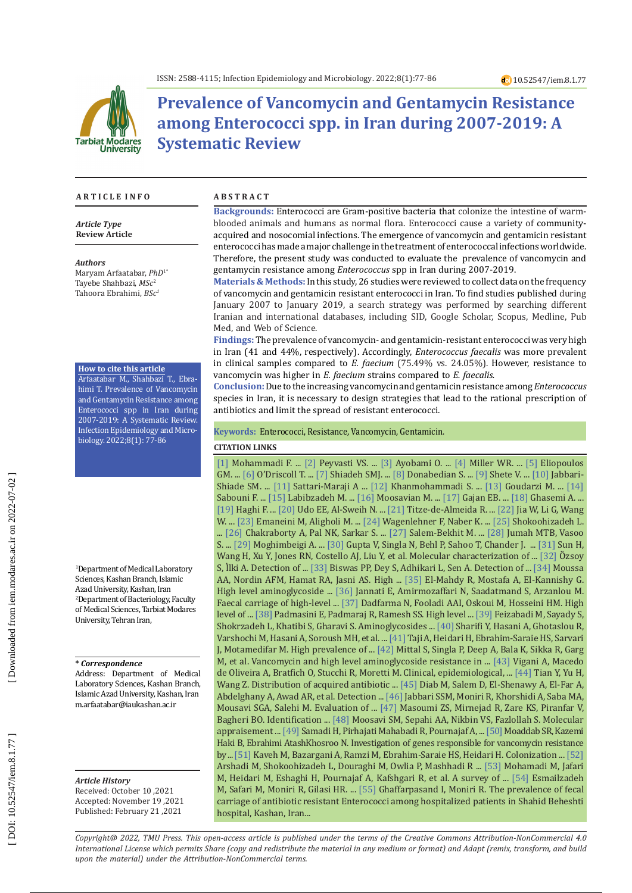

# **Prevalence of Vancomycin and Gentamycin Resistance among Enterococci spp. in Iran during 2007-2019: A Systematic Review**

#### **A R T I C L E I N F O A B S T R A C T**

*Article Type* **Review Article**

*Authors*

Maryam Arfaatabar, *PhD* 1 \* Tayebe Shahbazi, *MSc* 2 Tahoora Ebrahimi, *BSc 1*

#### **How to cite this article**

Arfaatabar M., Shahbazi T., Ebra himi T. Prevalence of Vancomycin and Gentamycin Resistance among Enterococci spp in Iran during 2007-2019: A Systematic Review. Infection Epidemiology and Micro biology. 2022;8(1): 77-86

1 Department of Medical Laboratory Sciences, Kashan Branch, Islamic Azad University, Kashan, Iran 2 Department of Bacteriology, Faculty of Medical Sciences, Tarbiat Modares University, Tehran Iran,

#### **\*** *Correspondence*

Address: Department of Medical Laboratory Sciences, Kashan Branch, Islamic Azad University, Kashan, Iran [m.arfaatabar@iaukashan.ac.ir](mailto:m.arfaatabar@iaukashan.ac.ir)

*Article History* Received: October 10 ,2021 Accepted: November 19 ,2021 Published: February 21 ,2021

**Backgrounds:** Enterococci are Gram-positive bacteria that colonize the intestine of warmblooded animals and humans as normal flora. Enterococci cause a variety of communityacquired and nosocomial infections. The emergence of vancomycin and gentamicin resistant enterococci has made a major challenge in the treatment of enterococcal infections worldwide. Therefore, the present study was conducted to evaluate the prevalence of vancomycin and gentamycin resistance among *Enterococcus* spp in Iran during 2007-2019.

**Materials & Methods:**In this study, 26 studies were reviewed to collect data on the frequency of vancomycin and gentamicin resistant enterococci in Iran. To find studies published during January 2007 to January 2019, a search strategy was performed by searching different Iranian and international databases, including SID, Google Scholar, Scopus, Medline, Pub Med, and Web of Science.

**Findings:** The prevalence of vancomycin- and gentamicin-resistant enterococci was very high in Iran (41 and 44%, respectively). Accordingly, *Enterococcus faecalis* was more prevalent in clinical samples compared to *E. faecium* (75.49% vs. 24.05%). However, resistance to vancomycin was higher in *E. faecium* strains compared to *E. faecalis.*

**Conclusion:**Due to the increasing vancomycin and gentamicin resistance among *Enterococcus* species in Iran, it is necessary to design strategies that lead to the rational prescription of antibiotics and limit the spread of resistant enterococci *.*

**Keywords:** Enterococci, Resistance, Vancomycin, Gentamicin .

#### **CITATION LINKS**

[\[1\]](https://ijmm.ir/article-1-172-en.html) Mohammadi F. ... [\[2\]](https://www.sciencedirect.com/science/article/pii/S2213716519302061) Peyvasti VS. ... [\[3\]](https://www.tandfonline.com/doi/abs/10.1080/22221751.2020.1769500) Ayobami O. ... [\[4\]](https://www.tandfonline.com/doi/abs/10.1586/14787210.2014.956092) Miller WR. ... [\[5\]](https://academic.oup.com/cid/article-abstract/33/2/210/325381) Eliopoulos GM. ... [\[6\]](https://www.ncbi.nlm.nih.gov/pmc/articles/pmc4521680/) O'Driscoll T. ... [\[7\]](https://www.ncbi.nlm.nih.gov/pmc/articles/PMC6731464/) Shiadeh SMJ. ... [\[8\]](https://journals.asm.org/doi/abs/10.1128/JCM.41.3.1109-1113.2003) Donabedian S. ... [\[9\]](https://www.hindawi.com/journals/jpath/2017/3256952/) Shete V. ... [\[10\]](http://feyz.kaums.ac.ir/browse.php?a_id=2049&sid=1&slc_lang=en) Jabbari-Shiade SM. ... [\[11\]](https://bmcmicrobiol.biomedcentral.com/articles/10.1186/s12866-019-1539-y) Sattari-Maraji A ... [\[12\]](http://journal.rums.ac.ir/browse.php?a_id=4081&slc_lang=en&sid=en&ftxt=1&html=1) Khanmohammadi S. ... [\[13\]](http://journal.muq.ac.ir/browse.php?a_id=1692&slc_lang=fa&sid=1&ftxt=1&html=1) Goudarzi M. ... [\[14\]](https://www.ncbi.nlm.nih.gov/pmc/articles/PMC5289031/) Sabouni F. ... [\[15\]](https://www.ncbi.nlm.nih.gov/pmc/articles/PMC7256818/) Labibzadeh M. ... [\[16\]](https://www.ncbi.nlm.nih.gov/pmc/articles/PMC6245376/) Moosavian M. ... [\[17\]](https://www.ncbi.nlm.nih.gov/pmc/articles/pmc3713858/) Gajan EB. ... [\[18\]](https://www.ijmm.ir/article-1-153-en.html) Ghasemi A. ... [\[19\]](https://pubmed.ncbi.nlm.nih.gov/31455296/) Haghi F. ... [\[20\]](https://www.microbiologyresearch.org/content/journal/jmm/10.1099/jmm.0.04949-0) Udo EE, Al-Sweih N. ... [\[21\]](https://www.scielo.br/pdf/bjid/v8n3/21616.pdf) Titze-de-Almeida R. ... [\[22\]](https://www.mdpi.com/68512) Jia W, Li G, Wang W. ... [\[23\]](http://www.pjmonline.org/wp-content/uploads/2015/12/vol5722008173.pdf) Emaneini M, Aligholi M. ... [\[24\]](https://www.sciencedirect.com/science/article/pii/S0924857904000500) Wagenlehner F, Naber K. ... [\[25\]](http://repository.zums.ac.ir/id/eprint/3604/) Shokoohizadeh L. ... [\[26\]](https://www.ncbi.nlm.nih.gov/pmc/articles/PMC4518417/) Chakraborty A, Pal NK, Sarkar S. ... [\[27\]](https://www.sciencedirect.com/science/article/pii/S0255085721010318) Salem-Bekhit M. ... [\[28\]](https://journals.asm.org/doi/abs/10.1128/AAC.01602-17) Jumah MTB, Vasoo S. ... [\[29\]](https://www.ncbi.nlm.nih.gov/pmc/articles/PMC6241717/) Moghimbeigi A. ... [\[30\]](https://www.ncbi.nlm.nih.gov/pmc/articles/pmc4510732/) Gupta V, Singla N, Behl P, Sahoo T, Chander J. ... [\[31\]](https://www.sciencedirect.com/science/article/pii/S0732889312003847) Sun H, Wang H, Xu Y, Jones RN, Costello AJ, Liu Y, et al. Molecular characterization of ... [\[32\]](https://www.scielo.br/j/bjm/a/3VCGb9T6HZkjrv6pPy7h6jP/?lang=en&format=html) Özsoy S, Ilki A. Detection of ... [\[33\]](https://www.ijpmonline.org/article.asp?issn=0377-4929;year=2016;volume=59;issue=2;spage=188;epage=193;aulast=Biswas) Biswas PP, Dey S, Adhikari L, Sen A. Detection of ... [\[34\]](https://pubmed.ncbi.nlm.nih.gov/31695445/) Moussa AA, Nordin AFM, Hamat RA, Jasni AS. High ... [\[35\]](https://www.ncbi.nlm.nih.gov/pmc/articles/pmc6363399/) El-Mahdy R, Mostafa A, El-Kannishy G. High level aminoglycoside ... [\[36\]](https://www.sciencedirect.com/science/article/pii/S2213716519301663) Jannati E, Amirmozaffari N, Saadatmand S, Arzanlou M. Faecal carriage of high-level ... [\[37\]](https://www.sciencedirect.com/science/article/pii/S1876034113000117) Dadfarma N, Fooladi AAI, Oskoui M, Hosseini HM. High level of ... [\[38\]](https://www.hindawi.com/journals/tswj/2014/329157/) Padmasini E, Padmaraj R, Ramesh SS. High level ... [\[39\]](https://www.ijmm.ir/browse.php?a_id=68&slc_lang=en&sid=1&ftxt=1) Feizabadi M, Sayady S, Shokrzadeh L, Khatibi S, Gharavi S. Aminoglycosides ... [\[40\]](https://www.microbiologyresearch.org/content/journal/jmm/10.1099/jmm.0.036780-0) Sharifi Y, Hasani A, Ghotaslou R, Varshochi M, Hasani A, Soroush MH, et al. ... [\[41\]](https://pubmed.ncbi.nlm.nih.gov/30465449/) Taji A, Heidari H, Ebrahim-Saraie HS, Sarvari J, Motamedifar M. High prevalence of ... [\[42\]](https://www.hindawi.com/journals/jpath/2016/8262561/) Mittal S, Singla P, Deep A, Bala K, Sikka R, Garg M, et al. Vancomycin and high level aminoglycoside resistance in ... [\[43\]](https://www.scielo.br/pdf/bjmbr/v41n10/7134.pdf) Vigani A, Macedo de Oliveira A, Bratfich O, Stucchi R, Moretti M. Clinical, epidemiological, ... [\[44\]](https://link.springer.com/article/10.1186/s13104-019-4064-z) Tian Y, Yu H, Wang Z. Distribution of acquired antibiotic ... [\[45\]](https://jmhg.springeropen.com/articles/10.1186/s43042-019-0032-3) Diab M, Salem D, El-Shenawy A, El-Far A, Abdelghany A, Awad AR, et al. Detection ... [\[46\]](https://www.magiran.com/paper/2141008?lang=en) Jabbari SSM, Moniri R, Khorshidi A, Saba MA, Mousavi SGA, Salehi M. Evaluation of ... [\[47\]](https://www.sid.ir/en/Journal/ViewPaper.aspx?ID=574142) Masoumi ZS, Mirnejad R, Zare KS, Piranfar V, Bagheri B O. Identification ... [\[48\]](https://www.researchgate.net/publication/326010939_Molecular_Appraisement_of_Isolated_Antibiotic_Resistant_Enterococci_from_Vaginal_Specimen_in_Spontaneously_Abortion_Women) Moosavi SM, Sepahi AA, Nikbin VS, Fazlollah S. Molecular appraisement ... [\[49\]](https://journal.muq.ac.ir/browse.php?a_id=377&sid=1&slc_lang=en) Samadi H, Pirhajati Mahabadi R, Pournajaf A, ... [\[50\]](http://tmuj.iautmu.ac.ir/browse.php?a_code=A-10-1-388&slc_lang=en&sid=1) Moaddab SR, Kazemi Haki B, Ebrahimi AtashKhosroo N. Investigation of genes responsible for vancomycin resistance by ... [\[51\]](https://www.ncbi.nlm.nih.gov/pmc/articles/PMC5219580/) Kaveh M, Bazargani A, Ramzi M, Ebrahim-Saraie HS, Heidari H. Colonization ... [\[52\]](https://academic.oup.com/femsle/article-abstract/366/6/fnz062/5420475) Arshadi M, Shokoohizadeh L, Douraghi M, Owlia P, Mashhadi R ... [\[53\]](https://ncmbjpiau.ir/article-1-1164-en.html) Mohamadi M, Jafari M, Heidari M, Eshaghi H, Pournajaf A, Kafshgari R, et al. A survey of ... [\[54\]](https://microbiologyjournal.org/distribution-of-gentamicin-resistant-genes-of-nosocomial-enterococcus-spp-from-intensive-care-unit-of-shahid-beheshty-hospital-in-kashan-iran/) Esmailzadeh M, Safari M, Moniri R, Gilasi HR. ... [\[55\]](http://feyz.kaums.ac.ir/browse.php?a_code=A-10-1-740&sid=1&slc_lang=en) Ghaffarpasand I, Moniri R. The prevalence of fecal carriage of antibiotic resistant Enterococci among hospitalized patients in Shahid Beheshti hospital, Kashan, Iran...

*Copyright@ 2022, TMU Press. This open-access article is published under the terms of the Creative Commons Attribution-NonCommercial 4.0 International License which permits Share (copy and redistribute the material in any medium or format) and Adapt (remix, transform, and build upon the material) under the Attribution-NonCommercial terms.*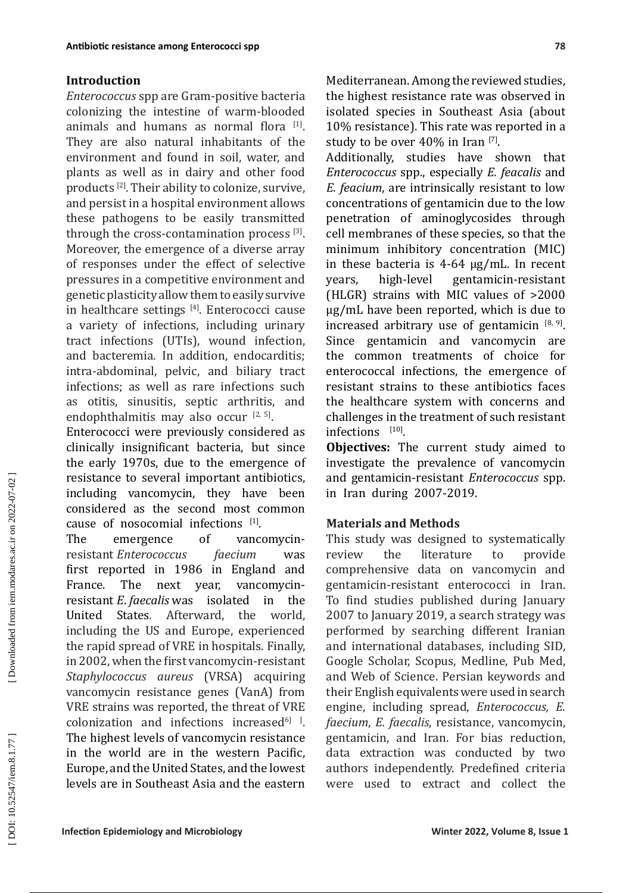# **Introduction**

*Enterococcus* spp are Gram-positive bacteria colonizing the intestine of warm-blooded animals and humans as normal flora [1]. They are also natural inhabitants of the environment and found in soil, water, and plants as well as in dairy and other food products [2]. Their ability to colonize, survive, and persist in a hospital environment allows these pathogens to be easily transmitted through the cross-contamination process [3]. Moreover, the emergence of a diverse array of responses under the effect of selective pressures in a competitive environment and genetic plasticity allow them to easily survive in healthcare settings [4] . Enterococci cause a variety of infections, including urinary tract infections (UTIs), wound infection, and bacteremia. In addition, endocarditis; intra-abdominal, pelvic, and biliary tract infections; as well as rare infections such as otitis, sinusitis, septic arthritis, and endophthalmitis may also occur  $[2, 5]$ .

Enterococci were previously considered as clinically insignificant bacteria, but since the early 1970s, due to the emergence of resistance to several important antibiotics, including vancomycin, they have been considered as the second most common cause of nosocomial infections  $[1]$ .<br>The emergence of vanc

vancomycin-<br>faecium was resistant *Enterococcus* first reported in 1986 in England and<br>France. The next year, vancomycinnext year, resistant *E*. *faecalis* was isolated in the United States*.* Afterward, the world, including the US and Europe, experienced the rapid spread of VRE in hospitals. Finally, in 2002, when the first vancomycin-resistant *Staphylococcus aureus* (VRSA) acquiring vancomycin resistance genes (VanA) from VRE strains was reported, the threat of VRE  $\alpha$  colonization and infections increased $\alpha$ <sup>6</sup> and  $\beta$ The highest levels of vancomycin resistance in the world are in the western Pacific, Europe, and the United States, and the lowest levels are in Southeast Asia and the eastern Mediterranean. Among the reviewed studies, the highest resistance rate was observed in isolated species in Southeast Asia (about 10% resistance). This rate was reported in a study to be over  $40\%$  in Iran  $\frac{[7]}{[7]}$ .

Additionally, studies have shown that *Enterococcus* spp., especially *E. feacalis* and *E. feacium*, are intrinsically resistant to low concentrations of gentamicin due to the low penetration of aminoglycosides through cell membranes of these species, so that the minimum inhibitory concentration (MIC) in these bacteria is  $4-64 \mu g/mL$ . In recent years, high-level gentamicin-resistant years, high-level gentamicin-resistant (HLGR) strains with MIC values of >2000 µg/mL have been reported, which is due to increased arbitrary use of gentamicin  $[8, 9]$ . Since gentamicin and vancomycin are the common treatments of choice for enterococcal infections, the emergence of resistant strains to these antibiotics faces the healthcare system with concerns and challenges in the treatment of such resistant infections [10].

**Objectives:** The current study aimed to investigate the prevalence of vancomycin and gentamicin-resistant *Enterococcus* spp. in Iran during 2007-2019.

# **Materials and Methods**

This study was designed to systematically<br>review the literature to provide literature comprehensive data on vancomycin and gentamicin-resistant enterococci in Iran. To find studies published during January 2007 to January 2019, a search strategy was performed by searching different Iranian and international databases, including SID, Google Scholar, Scopus, Medline, Pub Med, and Web of Science. Persian keywords and their English equivalents were used in search engine, including spread, *Enterococcus, E. faecium*, *E. faecalis*, resistance, vancomycin, gentamicin, and Iran. For bias reduction, data extraction was conducted by two authors independently. Predefined criteria were used to extract and collect the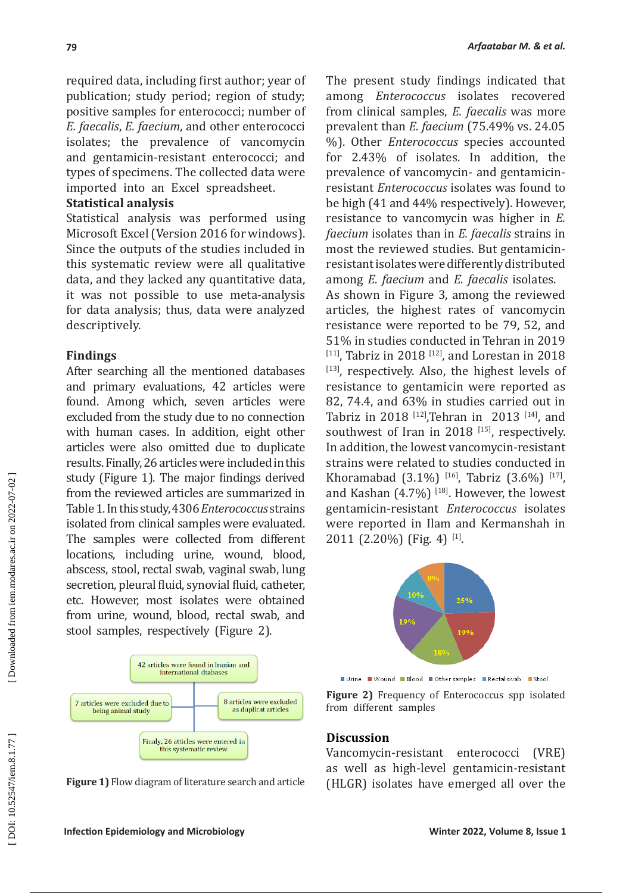required data, including first author; year of publication; study period; region of study; positive samples for enterococci; number of *E. faecalis*, *E. faecium*, and other enterococci isolates; the prevalence of vancomycin and gentamicin-resistant enterococci; and types of specimens. The collected data were imported into an Excel spreadsheet.

## **Statistical analysis**

Statistical analysis was performed using Microsoft Excel (Version 2016 for windows). Since the outputs of the studies included in this systematic review were all qualitative data, and they lacked any quantitative data, it was not possible to use meta-analysis for data analysis; thus, data were analyzed descriptively.

# **Findings**

After searching all the mentioned databases and primary evaluations, 42 articles were found. Among which, seven articles were excluded from the study due to no connection with human cases. In addition, eight other articles were also omitted due to duplicate results. Finally, 26 articles were included in this study (Figure 1). The major findings derived from the reviewed articles are summarized in Table 1. In this study, 4306 *Enterococcus* strains isolated from clinical samples were evaluated. The samples were collected from different locations, including urine, wound, blood, abscess, stool, rectal swab, vaginal swab, lung secretion, pleural fluid, synovial fluid, catheter, etc. However, most isolates were obtained from urine, wound, blood, rectal swab, and stool samples, respectively (Figure 2).



**Figure 1)** Flow diagram of literature search and article

The present study findings indicated that among *Enterococcus* isolates recovered from clinical samples, *E. faecalis* was more prevalent than *E. faecium* (75.49% vs. 24.05 %). Other *Enterococcus* species accounted for 2.43% of isolates. In addition, the prevalence of vancomycin- and gentamicinresistant *Enterococcus* isolates was found to be high (41 and 44% respectively). However, resistance to vancomycin was higher in *E. faecium* isolates than in *E. faecalis* strains in most the reviewed studies. But gentamicinresistant isolates were differently distributed among *E. faecium* and *E. faecalis* isolates.

As shown in Figure 3, among the reviewed articles, the highest rates of vancomycin resistance were reported to be 79, 52, and 51% in studies conducted in Tehran in 2019  $[111]$ , Tabriz in 2018  $[12]$ , and Lorestan in 2018 [13], respectively. Also, the highest levels of resistance to gentamicin were reported as 82, 74.4, and 63% in studies carried out in Tabriz in 2018 <sup>[12]</sup>, Tehran in 2013 <sup>[14]</sup>, and southwest of Iran in 2018 [15], respectively. In addition, the lowest vancomycin-resistant strains were related to studies conducted in Khoramabad (3.1%)  $[16]$ , Tabriz (3.6%)  $[17]$ and Kashan  $(4.7\%)$  [18]. However, the lowest gentamicin-resistant *Enterococcus* isolates were reported in Ilam and Kermanshah in  $2011$  (2.20%) (Fig. 4) <sup>[1]</sup>.



■ Urine ■ Wound ■ Blood ■ Other samples ■ Rectal swab ■ Stool

**Figure 2)** Frequency of Enterococcus spp isolated from different samples

#### **Discussion**

Vancomycin-resistant enterococci (VRE) as well as high-level gentamicin-resistant (HLGR) isolates have emerged all over the

DOI: 10.52547/iem.8.1.77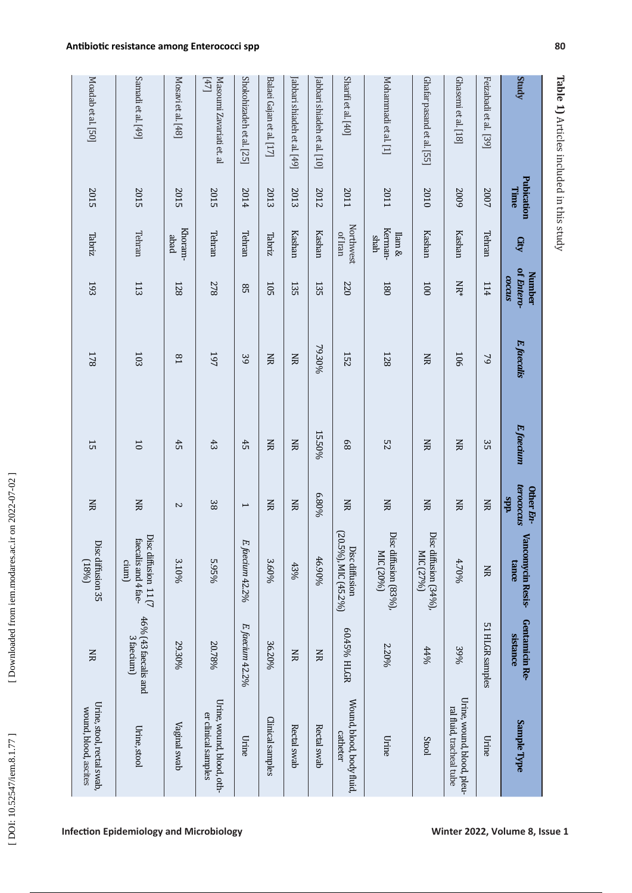**Table 1)** Articles included in this study Articles included in this study

| Moadab et al. [50]                                  | Samadi et al. [49]                                   | Mosavi et al. [48] | $[47]$<br>Masoumi Zavariati et. al              | Shokohizadeh et al. [25] | Balaei Gajan et al. [17] | [abbari shiadeh et al. [49] | Jabbari shiadeh et al. [10] | Sharifi et al. [40]                    | Mohammadi et al. [1]               | Ghafar pasand et al. [55]          | Ghasemi et al. [18]                                    | Feizabadi et al. [39] | Study                                  |
|-----------------------------------------------------|------------------------------------------------------|--------------------|-------------------------------------------------|--------------------------|--------------------------|-----------------------------|-----------------------------|----------------------------------------|------------------------------------|------------------------------------|--------------------------------------------------------|-----------------------|----------------------------------------|
| 2015                                                | 2015                                                 | 2015               | 2015                                            | 2014                     | 2013                     | 2013                        | 2012                        | 2011                                   | 2011                               | 2010                               | 5009                                                   | 2007                  | Pubication<br>Time                     |
| Tabriz                                              | Tehran                                               | Khoram-<br>peqe    | Tehran                                          | Tehran                   | Tabriz                   | Kashan                      | Kashan                      | <b>Northwest</b><br>of Iran            | Kerman-<br>$\lim\alpha$<br>shah    | Kashan                             | Kashan                                                 | Tehran                | <b>Gity</b>                            |
| 193                                                 | 113                                                  | 128                | 278                                             | 95                       | 105                      | 135                         | 135                         | 220                                    | 180                                | 100                                | NR*                                                    | 114                   | of Entero-<br><b>Number</b><br>ccous   |
| <b>178</b>                                          | 103                                                  | $_{18}$            | 197                                             | 39                       | $\mathbf{H}$             | Š                           | 79.30%                      | <b>152</b>                             | 128                                | $\Xi$                              | 106                                                    | $\mathcal{P}$         | E. faecalis                            |
| 55                                                  | $\overline{0}$                                       | 45                 | 43                                              | 45                       | $\Xi$                    | Š                           | 15.50%                      | 89                                     | $^{25}$                            | $\Xi$                              | $\Xi$                                                  | 35                    | E. faecium                             |
| ŠК                                                  | $\mathbf{H}$                                         | $\sim$             | 38                                              | $\mapsto$                | ΧR                       | Š                           | 6.80%                       | Š                                      | <b>NR</b>                          | ŠК                                 | ŠК                                                     | ŠК                    | terococcus<br>Other En-<br>dds         |
| Disc diffusion 35<br>(9681)                         | Disc diffusion 11 (7<br>faecalis and 4 fae-<br>cium) | 3.10%              | 5.95%                                           | FJ<br>faecium 42.2%      | 3.60%                    | 43%                         | 46.90%                      | (20.5%), MIC (45.2%)<br>Disc diffusion | Disc diffusion (83%),<br>MIC (20%) | Disc diffusion (34%),<br>MIC (27%) | 4.70%                                                  | $\Xi$                 | Lev<br><b>ncomycin Resis-</b><br>cance |
| ŠК                                                  | 46% (43 faecalis and<br>3 faecium)                   | 29.30%             | 20.78%                                          | E. faecium 42.2%         | 36.20%                   | $\Xi$                       | Š                           | 60.45% HLGR                            | 2.20%                              | $4406$                             | 39%                                                    | 51 HLGR samples       | Gentamicin Re-<br><b>Sistance</b>      |
| Urine, stool, rectal swab,<br>wound, blood, ascites | Urine, stool                                         | Vaginal swab       | Urine, wound, blood, oth-<br>er dinical samples | Urine                    | Clinical samples         | Rectal swab                 | Rectal swab                 | Wound, blood, body fluid,<br>catheter  | Urine                              | Stool                              | Urine, wound, blood, pleu-<br>ral fluid, tracheal tube | Urine                 | Sample Type                            |

**Infection Epidemiology and Microbiology Winter 2022, Volume 8, Issue 1**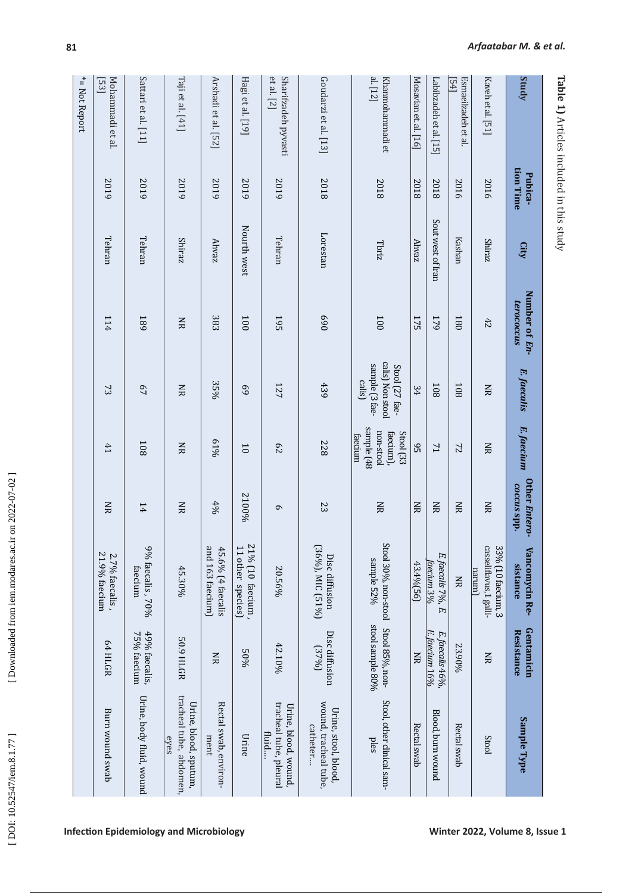| くしく                 |
|---------------------|
| י                   |
|                     |
| ֕                   |
|                     |
|                     |
|                     |
|                     |
|                     |
|                     |
|                     |
|                     |
|                     |
|                     |
|                     |
|                     |
|                     |
|                     |
| こうくてん りょうしゃ りょくこうしゃ |
|                     |
|                     |
|                     |
|                     |
|                     |
|                     |
|                     |
|                     |
| $\overline{a}$<br>I |
|                     |
|                     |
|                     |
|                     |
|                     |
|                     |
|                     |
|                     |
|                     |
|                     |
| י<br>ו              |
|                     |
|                     |
|                     |
|                     |
|                     |
|                     |
|                     |
|                     |
| l                   |
|                     |
|                     |
| こじっしくし くっ んく        |
| ۱<br>i              |

| <b>EXAMPLE DE L'ASSESSER DE L'ASSESSER DE L'ASSESSER DE L'ASSESSER DE L'ASSESSER DE L'ASSESSER DE L'ASSESSER DE L'ASSESSER DE L'ASSESSER DE L'ASSESSER DE L'ASSESSER DE L'ASSESSER DE L'ASSESSER DE L'ASSESSER DE L'ASSESSER DE </b> |  |  |  |
|--------------------------------------------------------------------------------------------------------------------------------------------------------------------------------------------------------------------------------------|--|--|--|
|                                                                                                                                                                                                                                      |  |  |  |
|                                                                                                                                                                                                                                      |  |  |  |
|                                                                                                                                                                                                                                      |  |  |  |
|                                                                                                                                                                                                                                      |  |  |  |
|                                                                                                                                                                                                                                      |  |  |  |
|                                                                                                                                                                                                                                      |  |  |  |
|                                                                                                                                                                                                                                      |  |  |  |
|                                                                                                                                                                                                                                      |  |  |  |
|                                                                                                                                                                                                                                      |  |  |  |
|                                                                                                                                                                                                                                      |  |  |  |
|                                                                                                                                                                                                                                      |  |  |  |
|                                                                                                                                                                                                                                      |  |  |  |
|                                                                                                                                                                                                                                      |  |  |  |
|                                                                                                                                                                                                                                      |  |  |  |
|                                                                                                                                                                                                                                      |  |  |  |
|                                                                                                                                                                                                                                      |  |  |  |
|                                                                                                                                                                                                                                      |  |  |  |
|                                                                                                                                                                                                                                      |  |  |  |
|                                                                                                                                                                                                                                      |  |  |  |
|                                                                                                                                                                                                                                      |  |  |  |
|                                                                                                                                                                                                                                      |  |  |  |
|                                                                                                                                                                                                                                      |  |  |  |
|                                                                                                                                                                                                                                      |  |  |  |

| Study                                 | tion Time<br>Pubica- | City              | Number of En-<br>terococcus | E. faecalis                                                    | E. faecium                                                   | Other Entero- | Vancomycin Re-<br>sistance                                            | Gentamicin                        | Sample Type                                               |
|---------------------------------------|----------------------|-------------------|-----------------------------|----------------------------------------------------------------|--------------------------------------------------------------|---------------|-----------------------------------------------------------------------|-----------------------------------|-----------------------------------------------------------|
|                                       |                      |                   |                             |                                                                |                                                              | coccus spp.   |                                                                       | <b>Resistance</b>                 |                                                           |
| Kaveh et al. [51]                     | 2016                 | <b>Shiraz</b>     | 42                          | Š                                                              | $\Xi$                                                        | $\mathbf{H}$  | casseliflavus,1 galli-<br>33% (10 faecium, 3<br>marum)                | $\Xi$                             | Stool                                                     |
| Esmaeilzadeh et al<br>$\overline{54}$ | 2016                 | Kashan            | 180                         | 108                                                            | $\overline{2}$                                               | $\mathbf{H}$  | $\Xi$                                                                 | 23.90%                            | Rectal swab                                               |
| Labibzadeh et al. [15]                | 2018                 | Sout west of Iran | 179                         | 108                                                            | 71                                                           | $\mathbf{g}$  | E. faecalis 7%,<br>faecium 3%<br>Ħ,                                   | E. faecium 16%<br>E. faecalis 46% | Blood, burn wound                                         |
| Mosavian et. al. [16]                 | 2018                 | Ahvaz             | 175                         | 34                                                             | 95                                                           | Š             | 43.4% [56]                                                            | $\Xi$                             | Rectal swab                                               |
| $a$ . [12]<br>Khanmohammadi et        | 2018                 | Tbriz             | 100                         | calis) Non stoo.<br>sample [3 fae-<br>Stool (27 fae-<br>calis) | sample (48<br>non-stool<br>faecium),<br>Stool (33<br>taecium | $\mathbf{H}$  | Stool 30%, non-stool Stool 85%, non-<br>sample 52%                    | stool sample 80%                  | Stool, other clinical sam-<br>ples                        |
| Goudarzi et al. [13]                  | 2018                 | Lorestan          | 069                         | 439                                                            | 822                                                          | 23            | (36%), MIC (51%)<br>Disc diffusion                                    | Disc diffusion<br>(3796)          | wound, tracheal tube,<br>Urine, stool, blood,<br>catheter |
| et al. [2]<br>Sharifzadeh pyvasti     | 5019                 | Tehran            | 195                         | 127                                                            | 29                                                           | $\sigma$      | 20.56%                                                                | 42.10%                            | tracheal tube, pleural<br>Urine, blood, wound,<br>fluid   |
| Hagi et al. [19]                      | 5019                 | Nourth west       | 001                         | 69                                                             | $\overline{0}$                                               | 2100%         | 12<br>$\overline{\overline{L}}$<br>$%$ (10 faecium,<br>other species) | 9605                              | Urine                                                     |
| Arshadi et al. [52]                   | 5019                 | <b>Ahvaz</b>      | 383                         | 35%                                                            | 61%                                                          | 490           | and 163 faecium)<br>45.6% (4 faecalis                                 | ŠК                                | Rectal swab, environ-<br>ment                             |
| Taji et al. [41]                      | 5019                 | Shiraz            | <b>NR</b>                   | Š                                                              | ΧR                                                           | XК            | 45.30%                                                                | 50.9 HLGR                         | tracheal tube, abdomen,<br>Urine, blood, sputum,<br>eyes  |
| Sattari et al. [11]                   | 5019                 | Tehran            | 68 <sub>I</sub>             | 67                                                             | 108                                                          | 14            | 9% faecalis, 70%<br>faecium                                           | 49% faecalis,<br>75% faecium      | Urine, body fluid, wound                                  |
| Mohammadi et al.<br>[53]              | 2019                 | Tehran            | 114                         | 73                                                             | 41                                                           | ŠК            | $21.9\%$ faecium<br>2.7% faecalis,                                    | 64 HLGR                           | Burn wound swab                                           |
| *= Not Report                         |                      |                   |                             |                                                                |                                                              |               |                                                                       |                                   |                                                           |

**Infection Epidemiology and Microbiology Microbiology Minter 2022, Volume 8, Issue 1** 

**Table 1)** Articles included in this study Articles included in this study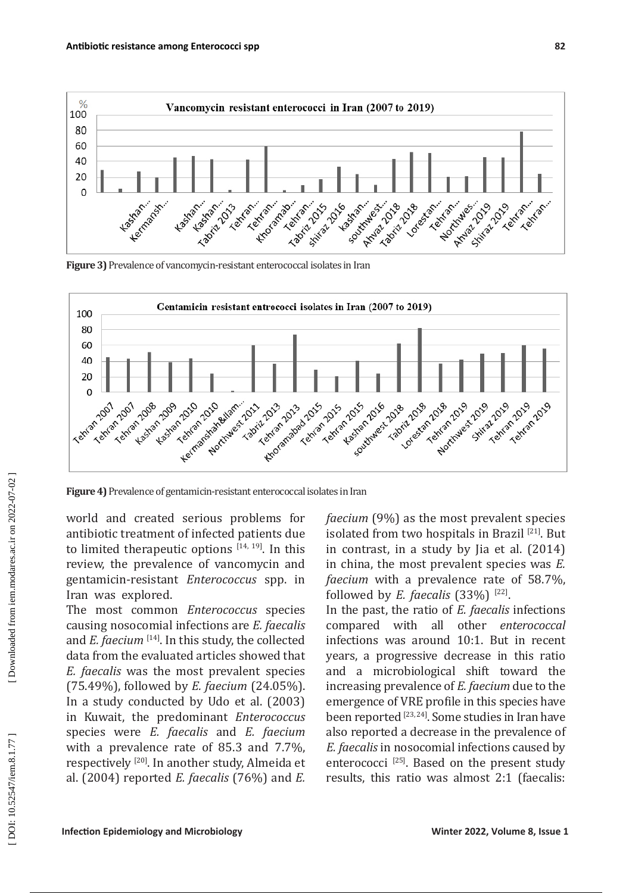

**Figure 3)** Prevalence of vancomycin-resistant enterococcal isolates in Iran



**Figure 4)** Prevalence of gentamicin-resistant enterococcal isolates in Iran

world and created serious problems for antibiotic treatment of infected patients due to limited therapeutic options  $[14, 19]$ . In this review, the prevalence of vancomycin and gentamicin-resistant *Enterococcus* spp. in Iran was explored.

The most common *Enterococcus* species causing nosocomial infections are *E. faecalis*  and *E. faecium* <sup>[14]</sup>. In this study, the collected data from the evaluated articles showed that *E. faecalis* was the most prevalent species (75.49%), followed by *E. faecium* (24.05%). In a study conducted by [Udo](https://pubmed.ncbi.nlm.nih.gov/?term=Udo+EE&cauthor_id=12543923) et al. (2003) in Kuwait, the predominant *Enterococcus* species were *E. faecalis* and *E. faecium* with a prevalence rate of 85.3 and 7.7%, respectively [20]. In another study, Almeida et al. (2004) reported *E. faecalis* (76%) and *E.*  *faecium* (9%) as the most prevalent species isolated from two hospitals in Brazil [21]. But in contrast, in a study by [Jia](https://www.ncbi.nlm.nih.gov/pubmed/?term=Jia%20W%5BAuthor%5D&cauthor=true&cauthor_uid=24662964) et al. (2014) in china, the most prevalent species was *E. faecium* with a prevalence rate of 58.7%, followed by *E. faecalis*  $(33%)$ <sup>[22]</sup>.

In the past, the ratio of *E. faecalis* infections compared with all other *enterococcal* infections was around 10:1. But in recent years, a progressive decrease in this ratio and a microbiological shift toward the increasing prevalence of *E. faecium* due to the emergence of VRE profile in this species have been reported [23, 24]. Some studies in Iran have also reported a decrease in the prevalence of *E. faecalis* in nosocomial infections caused by enterococci  $^{[25]}$ . Based on the present study results, this ratio was almost 2:1 (faecalis:

DOI: 10.52547/iem.8.1.77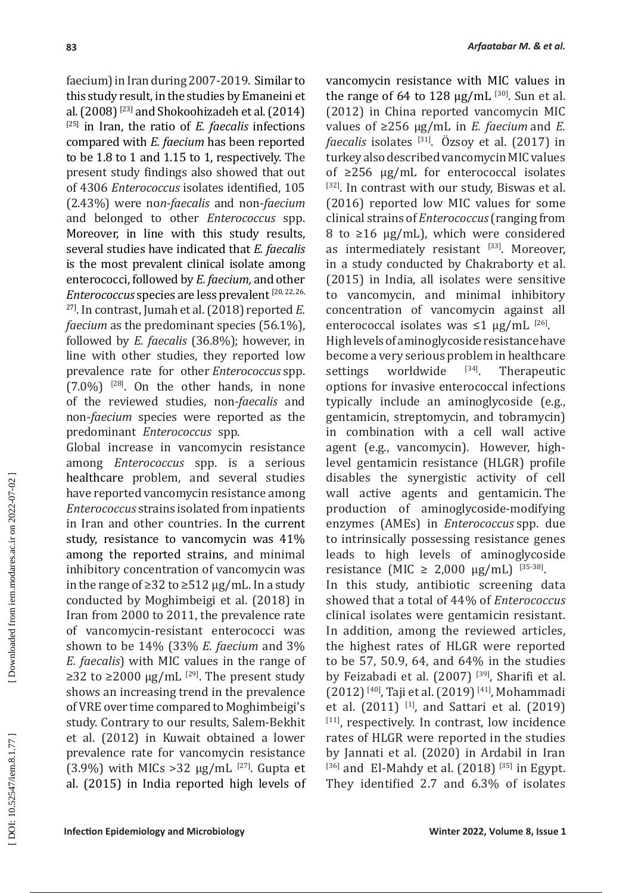faecium) in Iran during 2007-2019. Similar to this study result, in the studies by Emaneini et al.  $(2008)$ <sup>[23]</sup> and Shokoohizadeh et al.  $(2014)$ [25] in Iran, the ratio of *E. faecalis* infections compared with *E. faecium* has been reported to be 1.8 to 1 and 1.15 to 1, respectively. The present study findings also showed that out of 4306 *Enterococcus* isolates identified, 105 (2.43%) were no*n-faecalis* and non-*faecium*  and belonged to other *Enterococcus* spp. Moreover, in line with this study results, several studies have indicated that *E. faecalis*  is the most prevalent clinical isolate among enterococci, followed by *E. faecium,* and other *Enterococcus* species are less prevalent [20, 22, 26, 27]. In contrast, Jumah et al. (2018) reported *E. faecium* as the predominant species (56.1%), followed by *E. faecalis* (36.8%); however, in line with other studies, they reported low prevalence rate for other *Enterococcus* spp.  $(7.0\%)$  <sup>[28]</sup>. On the other hands, in none of the reviewed studies, non*-faecalis* and non-*faecium* species were reported as the predominant *Enterococcus* spp.

Global increase in vancomycin resistance among *Enterococcus* spp. is a serious healthcare problem, and several studies have reported vancomycin resistance among *Enterococcus* strains isolated from inpatients in Iran and other countries. In the current study, resistance to vancomycin was 41% among the reported strains, and minimal inhibitory concentration of vancomycin was in the range of  $\geq$ 32 to  $\geq$ 512 µg/mL. In a study conducted by Moghimbeigi et al. (2018) in Iran from 2000 to 2011, the prevalence rate of vancomycin-resistant enterococci was shown to be 14% (33% *E. faecium* and 3% *E. faecalis*) with MIC values in the range of ≥32 to ≥2000 µg/mL  $^{[29]}$ . The present study shows an increasing trend in the prevalence of VRE over time compared to Moghimbeigi's study. Contrary to our results, Salem-Bekhit et al. (2012) in Kuwait obtained a lower prevalence rate for vancomycin resistance (3.9%) with MICs >32  $\mu$ g/mL<sup> $[27]$ </sup>. [Gupta](https://www.ncbi.nlm.nih.gov/pubmed/?term=Gupta%20V%5BAuthor%5D&cauthor=true&cauthor_uid=26112853) et al. (2015) in India reported high levels of

vancomycin resistance with MIC values in the range of 64 to  $128 \mu g/mL$  [30]. Sun et al. (2012) in China reported vancomycin MIC values of ≥256 μg/mL in *E. faecium* and *E. faecalis* isolates <sup>[31]</sup>. Özsoy et al. (2017) in turkey also described vancomycin MIC values of ≥256 μg/mL for enterococcal isolates [32]. In contrast with our study, [Biswas](https://www.ijpmonline.org/searchresult.asp?search=&author=Priyanka+Paul+Biswas&journal=Y&but_search=Search&entries=10&pg=1&s=0) et al. (2016) reported low MIC values for some clinical strains of *Enterococcus* (ranging from 8 to ≥16 μg/mL), which were considered as intermediately resistant [33]. Moreover, in a study conducted by [Chakraborty](https://www.jnsbm.org/searchresult.asp?search=&author=Atreyi+Chakraborty&journal=Y&but_search=Search&entries=10&pg=1&s=0) et al. (2015) in India, all isolates were sensitive to vancomycin, and minimal inhibitory concentration of vancomycin against all enterococcal isolates was  $\leq 1$   $\mu$ g/mL  $^{[26]}$ .

High levels of aminoglycoside resistance have become a very serious problem in healthcare<br>settings worldwide  $^{[34]}$ . Therapeutic settings worldwide  $[34]$ . Therapeutic options for invasive enterococcal infections typically include an aminoglycoside (e.g., gentamicin, streptomycin, and tobramycin) in combination with a cell wall active agent (e.g., vancomycin). However, highlevel gentamicin resistance (HLGR) profile disables the synergistic activity of cell wall active agents and gentamicin. The production of aminoglycoside-modifying enzymes (AMEs) in *Enterococcus* spp. due to intrinsically possessing resistance genes leads to high levels of aminoglycoside resistance (MIC ≥ 2,000 μg/mL) <sup>[35-38]</sup>.

In this study, antibiotic screening data showed that a total of 44% of *Enterococcus* clinical isolates were gentamicin resistant. In addition, among the reviewed articles, the highest rates of HLGR were reported to be 57, 50.9, 64, and 64% in the studies by Feizabadi et al. (2007)<sup>[39]</sup>, Sharifi et al. (2012) [40], Taji et al. (2019) [41], Mohammadi et al.  $(2011)$ <sup>[1]</sup>, and Sattari et al.  $(2019)$ [11], respectively. In contrast, low incidence rates of HLGR were reported in the studies by Jannati et al. (2020) in Ardabil in Iran  $^{[36]}$  and [El-Mahdy](https://www.ncbi.nlm.nih.gov/pubmed/?term=El-Mahdy%20R%5BAuthor%5D&cauthor=true&cauthor_uid=30775337) et al. (2018)  $^{[35]}$  in Egypt. They identified 2.7 and 6.3% of isolates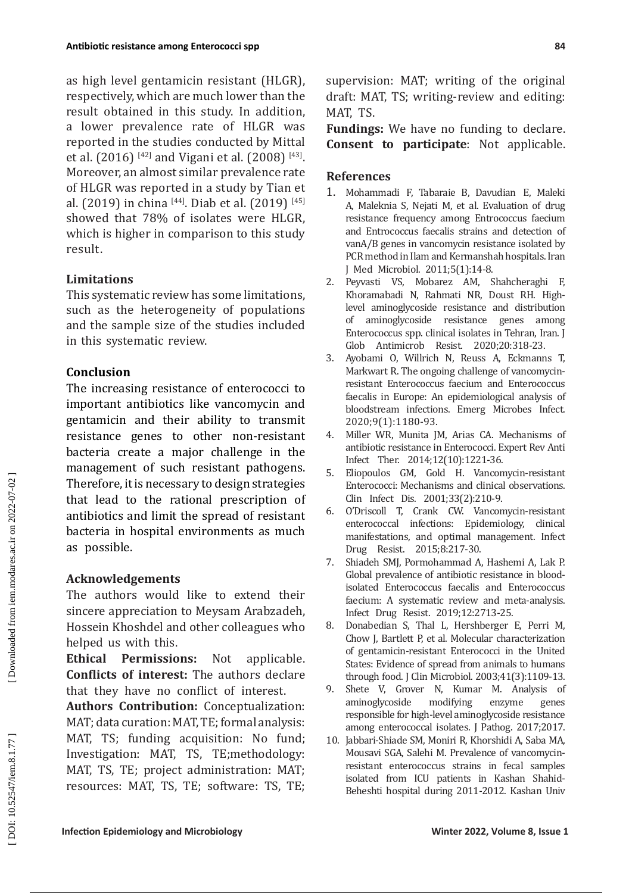as high level gentamicin resistant (HLGR), respectively, which are much lower than the result obtained in this study. In addition, a lower prevalence rate of HLGR was reported in the studies conducted by Mittal et al. (2016) <sup>[42]</sup> and Vigani et al. (2008) <sup>[43]</sup>. Moreover, an almost similar prevalence rate of HLGR was reported in a study by [Tian](file:///C:/Users/s.zahani/Desktop/confirmed/confirmed/javascript:;) et al. (2019) in china  $^{[44]}$ . [Diab](file:///C:/Users/s.zahani/Desktop/confirmed/confirmed/javascript:;) et al. (2019)  $^{[45]}$ showed that 78% of isolates were HLGR, which is higher in comparison to this study result.

## **Limitations**

This systematic review has some limitations, such as the heterogeneity of populations and the sample size of the studies included in this systematic review.

#### **Conclusion**

The increasing resistance of enterococci to important antibiotics like vancomycin and gentamicin and their ability to transmit resistance genes to other non-resistant bacteria create a major challenge in the management of such resistant pathogens. Therefore, it is necessary to design strategies that lead to the rational prescription of antibiotics and limit the spread of resistant bacteria in hospital environments as much as possible.

#### **Acknowledgements**

The authors would like to extend their sincere appreciation to Meysam Arabzadeh, Hossein Khoshdel and other colleagues who helped us with this.

**Ethical Permissions:** Not applicable. **Conflicts of interest:** The authors declare that they have no conflict of interest.

**Authors Contribution:** Conceptualization: MAT; data curation: MAT, TE; formal analysis: MAT, TS; funding acquisition: No fund; Investigation: MAT, TS, TE;methodology: MAT, TS, TE; project administration: MAT; resources: MAT, TS, TE; software: TS, TE; supervision: MAT; writing of the original draft: MAT, TS; writing-review and editing: MAT, TS.

**Fundings:** We have no funding to declare. **Consent to participate**: Not applicable.

## **References**

- 1. Mohammadi F, Tabaraie B, Davudian E, Maleki A, Maleknia S, Nejati M, et al. Evaluation of drug resistance frequency among Entrococcus faecium and Entrococcus faecalis strains and detection of vanA/B genes in vancomycin resistance isolated by PCR method in Ilam and Kermanshah hospitals. Iran J Med Microbiol. 2011;5(1):14-8.
- 2. Peyvasti VS, Mobarez AM, Shahcheraghi F, Khoramabadi N, Rahmati NR, Doust RH. Highlevel aminoglycoside resistance and distribution of aminoglycoside resistance genes among Enterococcus spp. clinical isolates in Tehran, Iran. J Glob Antimicrob Resist. 2020;20:318-23.
- 3. Ayobami O, Willrich N, Reuss A, Eckmanns T, Markwart R. The ongoing challenge of vancomycinresistant Enterococcus faecium and Enterococcus faecalis in Europe: An epidemiological analysis of bloodstream infections. Emerg Microbes Infect. 2020;9(1):1180-93.
- 4. Miller WR, Munita JM, Arias CA. Mechanisms of antibiotic resistance in Enterococci. Expert Rev Anti Infect Ther. 2014;12(10):1221-36.
- 5. Eliopoulos GM, Gold H. Vancomycin-resistant Enterococci: Mechanisms and clinical observations. Clin Infect Dis. 2001;33(2):210-9.
- 6. O'Driscoll T, Crank CW. Vancomycin-resistant enterococcal infections: Epidemiology, clinical manifestations, and optimal management. Infect Drug Resist. 2015;8:217-30.
- 7. Shiadeh SMJ, Pormohammad A, Hashemi A, Lak P. Global prevalence of antibiotic resistance in bloodisolated Enterococcus faecalis and Enterococcus faecium: A systematic review and meta-analysis. Infect Drug Resist. 2019;12:2713-25.
- 8. Donabedian S, Thal L, Hershberger E, Perri M, Chow J, Bartlett P, et al. Molecular characterization of gentamicin-resistant Enterococci in the United States: Evidence of spread from animals to humans through food. J Clin Microbiol. 2003;41(3):1109-13.
- 9. Shete V, Grover N, Kumar M. Analysis of aminoglycoside responsible for high-level aminoglycoside resistance among enterococcal isolates. J Pathog. 2017;2017.
- 10. Jabbari-Shiade SM, Moniri R, Khorshidi A, Saba MA, Mousavi SGA, Salehi M. Prevalence of vancomycinresistant enterococcus strains in fecal samples isolated from ICU patients in Kashan Shahid-Beheshti hospital during 2011-2012. Kashan Univ

DOI: 10.52547/iem.8.1.77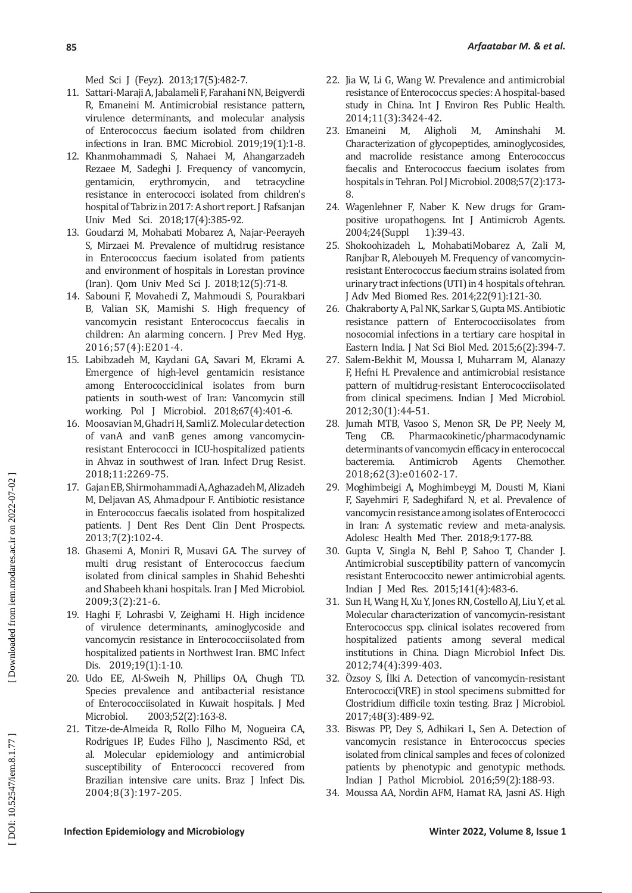Med Sci J (Feyz). 2013;17(5):482-7.

- 11. Sattari-Maraji A, Jabalameli F, Farahani NN, Beigverdi R, Emaneini M. Antimicrobial resistance pattern, virulence determinants, and molecular analysis of Enterococcus faecium isolated from children infections in Iran. BMC Microbiol. 2019;19(1):1-8.
- 12. Khanmohammadi S, Nahaei M, Ahangarzadeh Rezaee M, Sadeghi J. Frequency of vancomycin,<br>gentamicin. erythromycin. and tetracycline erythromycin, resistance in enterococci isolated from children's hospital of Tabriz in 2017: A short report. J Rafsanjan Univ Med Sci. 2018;17(4):385-92.
- 13. Goudarzi M, Mohabati Mobarez A, Najar-Peerayeh S, Mirzaei M. Prevalence of multidrug resistance in Enterococcus faecium isolated from patients and environment of hospitals in Lorestan province (Iran). Qom Univ Med Sci J. 2018;12(5):71-8.
- 14. Sabouni F, Movahedi Z, Mahmoudi S, Pourakbari B, Valian SK, Mamishi S. High frequency of vancomycin resistant Enterococcus faecalis in children: An alarming concern. J Prev Med Hyg. 2016;57(4):E201-4.
- 15. Labibzadeh M, Kaydani GA, Savari M, Ekrami A. Emergence of high-level gentamicin resistance among Enterococciclinical isolates from burn patients in south-west of Iran: Vancomycin still working. Pol J Microbiol. 2018;67(4):401-6.
- 16. Moosavian M, Ghadri H, Samli Z. Molecular detection of vanA and vanB genes among vancomycinresistant Enterococci in ICU-hospitalized patients in Ahvaz in southwest of Iran. Infect Drug Resist. 2018;11:2269-75.
- 17. Gajan EB, Shirmohammadi A, Aghazadeh M, Alizadeh M, Deljavan AS, Ahmadpour F. Antibiotic resistance in Enterococcus faecalis isolated from hospitalized patients. J Dent Res Dent Clin Dent Prospects. 2013;7(2):102-4.
- 18. Ghasemi A, Moniri R, Musavi GA. The survey of multi drug resistant of Enterococcus faecium isolated from clinical samples in Shahid Beheshti and Shabeeh khani hospitals. Iran J Med Microbiol. 2009;3(2):21-6.
- 19. Haghi F, Lohrasbi V, Zeighami H. High incidence of virulence determinants, aminoglycoside and vancomycin resistance in Enterococciisolated from hospitalized patients in Northwest Iran. BMC Infect Dis. 2019;19(1):1-10.
- 20. Udo EE, Al-Sweih N, Phillips OA, Chugh TD. Species prevalence and antibacterial resistance of Enterococciisolated in Kuwait hospitals. J Med<br>Microbiol. 2003:52(2):163-8. 2003;52(2):163-8.
- 21. Titze-de-Almeida R, Rollo Filho M, Nogueira CA, Rodrigues IP, Eudes Filho J, Nascimento RSd, et al. Molecular epidemiology and antimicrobial susceptibility of Enterococci recovered from Brazilian intensive care units. Braz J Infect Dis. 2004;8(3):197-205.
- 22. Jia W, Li G, Wang W. Prevalence and antimicrobial resistance of Enterococcus species: A hospital-based study in China. Int J Environ Res Public Health.
- 2014;11(3):3424-42.<br>Emaneini M, Aligholi 23. Emaneini M, Aligholi M, Aminshahi M. Characterization of glycopeptides, aminoglycosides, and macrolide resistance among Enterococcus faecalis and Enterococcus faecium isolates from hospitals in Tehran. Pol J Microbiol. 2008;57(2):173-8.
- 24. Wagenlehner F, Naber K. New drugs for Grampositive uropathogens. Int J Antimicrob Agents.<br>2004:24(Suppl 1):39-43. 2004;24(Suppl
- 25. Shokoohizadeh L, MohabatiMobarez A, Zali M, Ranjbar R, Alebouyeh M. Frequency of vancomycinresistant Enterococcus faecium strains isolated from urinary tract infections (UTI) in 4 hospitals of tehran. J Adv Med Biomed Res. 2014;22(91):121-30.
- 26. Chakraborty A, Pal NK, Sarkar S, Gupta MS. Antibiotic resistance pattern of Enterococciisolates from nosocomial infections in a tertiary care hospital in Eastern India. J Nat Sci Biol Med. 2015;6(2):394-7.
- 27. Salem-Bekhit M, Moussa I, Muharram M, Alanazy F, Hefni H. Prevalence and antimicrobial resistance pattern of multidrug-resistant Enterococciisolated from clinical specimens. Indian J Med Microbiol. 2012;30(1):44-51.
- 28. Jumah MTB, Vasoo S, Menon SR, De PP, Neely M, Pharmacokinetic/pharmacodynamic determinants of vancomycin efficacy in enterococcal<br>bacteremia. Antimicrob Agents Chemother. Antimicrob 2018;62(3):e01602-17.
- 29. Moghimbeigi A, Moghimbeygi M, Dousti M, Kiani F, Sayehmiri F, Sadeghifard N, et al. Prevalence of vancomycin resistance among isolates of Enterococci in Iran: A systematic review and meta-analysis. Adolesc Health Med Ther. 2018;9:177-88.
- 30. Gupta V, Singla N, Behl P, Sahoo T, Chander J. Antimicrobial susceptibility pattern of vancomycin resistant Enterococcito newer antimicrobial agents. Indian J Med Res. 2015;141(4):483-6.
- 31. Sun H, Wang H, Xu Y, Jones RN, Costello AJ, Liu Y, et al. Molecular characterization of vancomycin-resistant Enterococcus spp. clinical isolates recovered from hospitalized patients among several medical institutions in China. Diagn Microbiol Infect Dis. 2012;74(4):399-403.
- 32. Ozsoy S, Ilki A. Detection of vancomycin-resistant Enterococci(VRE) in stool specimens submitted for Clostridium difficile toxin testing. Braz J Microbiol. 2017;48(3):489-92.
- 33. Biswas PP, Dey S, Adhikari L, Sen A. Detection of vancomycin resistance in Enterococcus species isolated from clinical samples and feces of colonized patients by phenotypic and genotypic methods. Indian J Pathol Microbiol. 2016;59(2):188-93.
- 34. Moussa AA, Nordin AFM, Hamat RA, Jasni AS. High